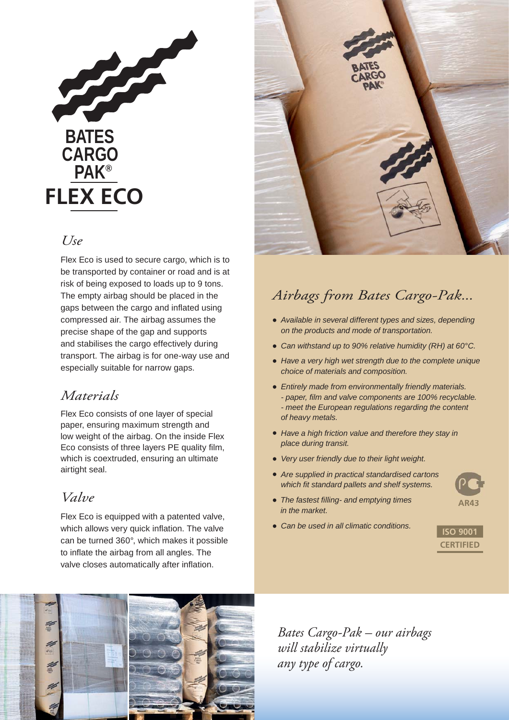

### *Use*

Flex Eco is used to secure cargo, which is to be transported by container or road and is at risk of being exposed to loads up to 9 tons. The empty airbag should be placed in the gaps between the cargo and inflated using compressed air. The airbag assumes the precise shape of the gap and supports and stabilises the cargo effectively during transport. The airbag is for one-way use and especially suitable for narrow gaps.

## *Materials*

Flex Eco consists of one layer of special paper, ensuring maximum strength and low weight of the airbag. On the inside Flex Eco consists of three layers PE quality film, which is coextruded, ensuring an ultimate airtight seal.

## *Valve*

Flex Eco is equipped with a patented valve, which allows very quick inflation. The valve can be turned 360°, which makes it possible to inflate the airbag from all angles. The valve closes automatically after inflation.



## *Airbags from Bates Cargo-Pak...*

- *Available in several different types and sizes, depending on the products and mode of transportation.*
- *Can withstand up to 90% relative humidity (RH) at 60°C.*
- *Have a very high wet strength due to the complete unique choice of materials and composition.*
- *Entirely made from environmentally friendly materials. - paper, fi lm and valve components are 100% recyclable. - meet the European regulations regarding the content of heavy metals.*
- *Have a high friction value and therefore they stay in place during transit.*
- *Very user friendly due to their light weight.*
- *Are supplied in practical standardised cartons which fit standard pallets and shelf systems.*
- *The fastest fi lling- and emptying times in the market.*
- *Can be used in all climatic conditions.*



**AR43**



*Bates Cargo-Pak – our airbags will stabilize virtually any type of cargo.*